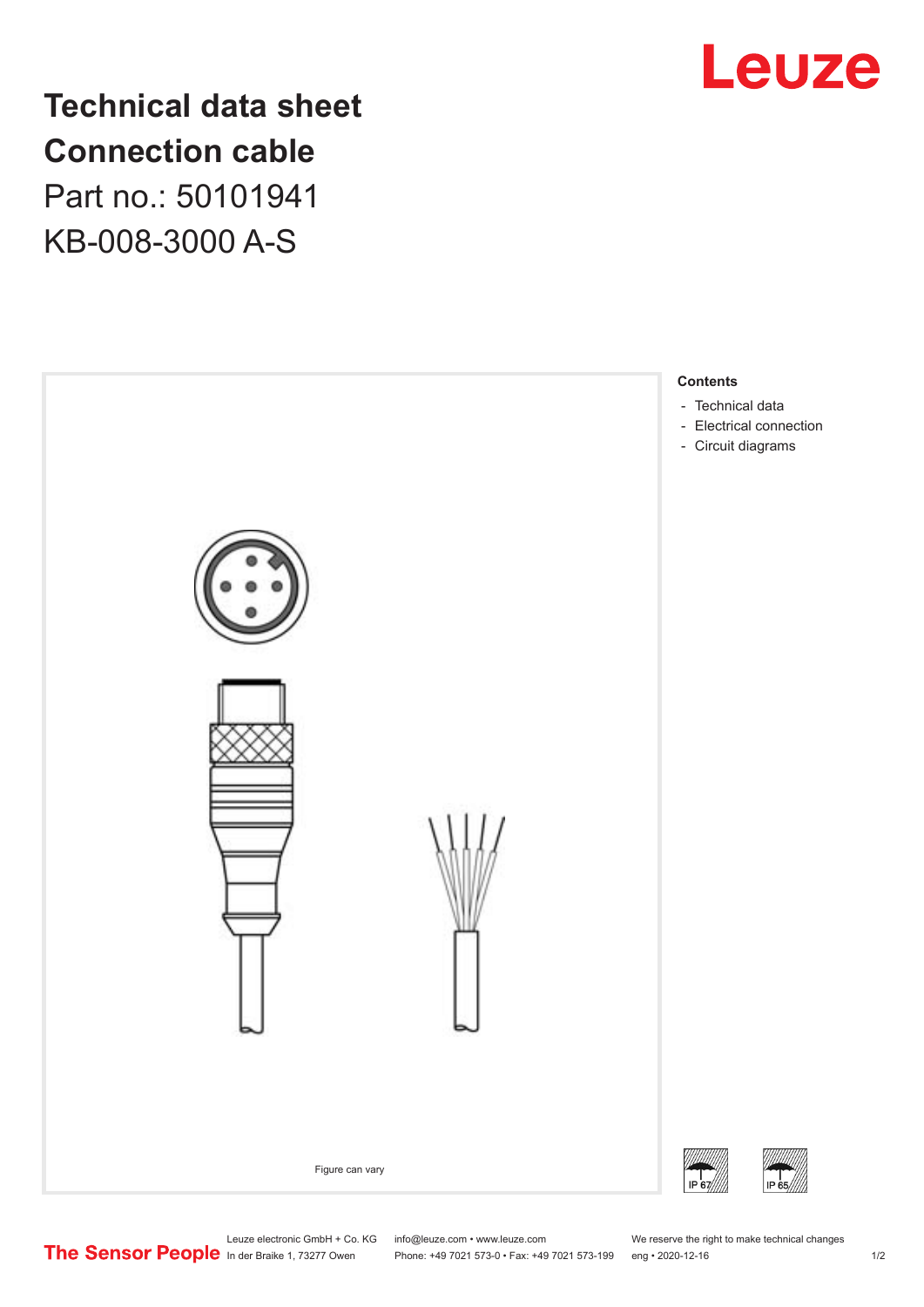

## **Technical data sheet Connection cable** Part no.: 50101941

KB-008-3000 A-S



Phone: +49 7021 573-0 • Fax: +49 7021 573-199 eng • 2020-12-16